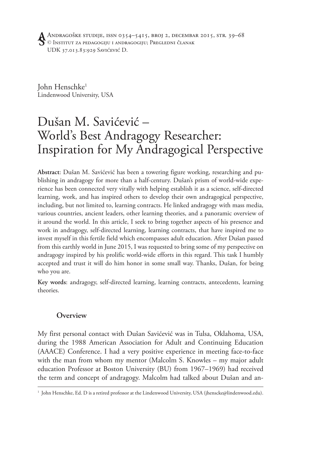John Henschke1 Lindenwood University, USA

# Dušan M. Savićević – World's Best Andragogy Researcher: Inspiration for My Andragogical Perspective

**Abstract**: Dušan M. Savićević has been a towering figure working, researching and publishing in andragogy for more than a half-century. Dušan's prism of world-wide experience has been connected very vitally with helping establish it as a science, self-directed learning, work, and has inspired others to develop their own andragogical perspective, including, but not limited to, learning contracts. He linked andragogy with mass media, various countries, ancient leaders, other learning theories, and a panoramic overview of it around the world. In this article, I seek to bring together aspects of his presence and work in andragogy, self-directed learning, learning contracts, that have inspired me to invest myself in this fertile field which encompasses adult education. After Dušan passed from this earthly world in June 2015, I was requested to bring some of my perspective on andragogy inspired by his prolific world-wide efforts in this regard. This task I humbly accepted and trust it will do him honor in some small way. Thanks, Dušan, for being who you are.

**Key words**: andragogy, self-directed learning, learning contracts, antecedents, learning theories.

### **Overview**

My first personal contact with Dušan Savićević was in Tulsa, Oklahoma, USA, during the 1988 American Association for Adult and Continuing Education (AAACE) Conference. I had a very positive experience in meeting face-to-face with the man from whom my mentor (Malcolm S. Knowles – my major adult education Professor at Boston University (BU) from 1967–1969) had received the term and concept of andragogy. Malcolm had talked about Dušan and an-

<sup>&</sup>lt;sup>1</sup> John Henschke, Ed. D is a retired professor at the Lindenwood University, USA (jhenscke@lindenwood.edu).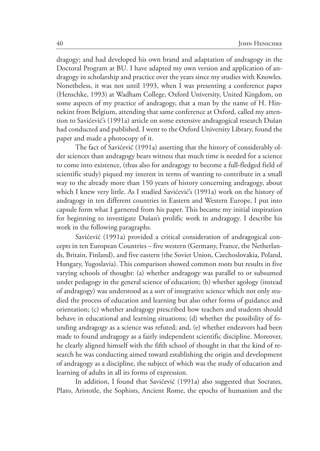dragogy; and had developed his own brand and adaptation of andragogy in the Doctoral Program at BU. I have adapted my own version and application of andragogy in scholarship and practice over the years since my studies with Knowles. Nonetheless, it was not until 1993, when I was presenting a conference paper (Henschke, 1993) at Wadham College, Oxford University, United Kingdom, on some aspects of my practice of andragogy, that a man by the name of H. Hinnekint from Belgium, attending that same conference at Oxford, called my attention to Savićević's (1991a) article on some extensive andragogical research Dušan had conducted and published. I went to the Oxford University Library, found the paper and made a photocopy of it.

The fact of Savićević (1991a) asserting that the history of considerably older sciences than andragogy bears witness that much time is needed for a science to come into existence, (thus also for andragogy to become a full-fledged field of scientific study) piqued my interest in terms of wanting to contribute in a small way to the already more than 150 years of history concerning andragogy, about which I knew very little. As I studied Savićević's (1991a) work on the history of andragogy in ten different countries in Eastern and Western Europe, I put into capsule form what I garnered from his paper. This became my initial inspiration for beginning to investigate Dušan's prolific work in andragogy. I describe his work in the following paragraphs.

Savićević (1991a) provided a critical consideration of andragogical concepts in ten European Countries – five western (Germany, France, the Netherlands, Britain, Finland), and five eastern (the Soviet Union, Czechoslovakia, Poland, Hungary, Yugoslavia). This comparison showed common roots but results in five varying schools of thought: (a) whether andragogy was parallel to or subsumed under pedagogy in the general science of education; (b) whether agology (instead of andragogy) was understood as a sort of integrative science which not only studied the process of education and learning but also other forms of guidance and orientation; (c) whether andragogy prescribed how teachers and students should behave in educational and learning situations; (d) whether the possibility of founding andragogy as a science was refuted; and, (e) whether endeavors had been made to found andragogy as a fairly independent scientific discipline. Moreover, he clearly aligned himself with the fifth school of thought in that the kind of research he was conducting aimed toward establishing the origin and development of andragogy as a discipline, the subject of which was the study of education and learning of adults in all its forms of expression.

In addition, I found that Savićević (1991a) also suggested that Socrates, Plato, Aristotle, the Sophists, Ancient Rome, the epochs of humanism and the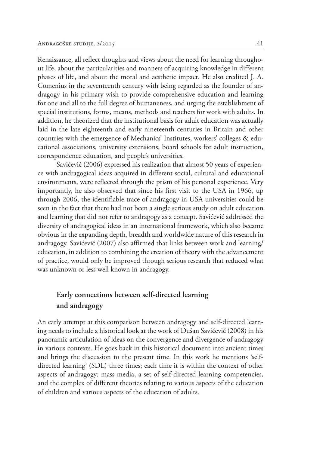Renaissance, all reflect thoughts and views about the need for learning throughout life, about the particularities and manners of acquiring knowledge in different phases of life, and about the moral and aesthetic impact. He also credited J. A. Comenius in the seventeenth century with being regarded as the founder of andragogy in his primary wish to provide comprehensive education and learning for one and all to the full degree of humaneness, and urging the establishment of special institutions, forms, means, methods and teachers for work with adults. In addition, he theorized that the institutional basis for adult education was actually laid in the late eighteenth and early nineteenth centuries in Britain and other countries with the emergence of Mechanics' Institutes, workers' colleges & educational associations, university extensions, board schools for adult instruction, correspondence education, and people's universities.

Savićević (2006) expressed his realization that almost 50 years of experience with andragogical ideas acquired in different social, cultural and educational environments, were reflected through the prism of his personal experience. Very importantly, he also observed that since his first visit to the USA in 1966, up through 2006, the identifiable trace of andragogy in USA universities could be seen in the fact that there had not been a single serious study on adult education and learning that did not refer to andragogy as a concept. Savićević addressed the diversity of andragogical ideas in an international framework, which also became obvious in the expanding depth, breadth and worldwide nature of this research in andragogy. Savićević (2007) also affirmed that links between work and learning/ education, in addition to combining the creation of theory with the advancement of practice, would only be improved through serious research that reduced what was unknown or less well known in andragogy.

# **Early connections between self-directed learning and andragogy**

An early attempt at this comparison between andragogy and self-directed learning needs to include a historical look at the work of Dušan Savićević (2008) in his panoramic articulation of ideas on the convergence and divergence of andragogy in various contexts. He goes back in this historical document into ancient times and brings the discussion to the present time. In this work he mentions 'selfdirected learning' (SDL) three times; each time it is within the context of other aspects of andragogy: mass media, a set of self-directed learning competencies, and the complex of different theories relating to various aspects of the education of children and various aspects of the education of adults.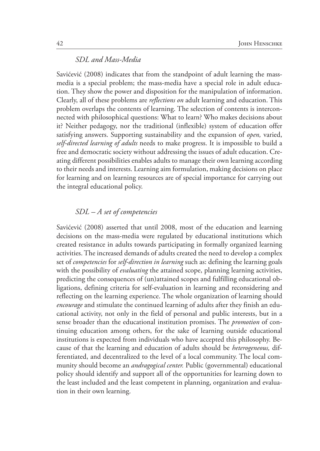### *SDL and Mass-Media*

Savićević (2008) indicates that from the standpoint of adult learning the massmedia is a special problem; the mass-media have a special role in adult education. They show the power and disposition for the manipulation of information. Clearly, all of these problems are *reflections on* adult learning and education. This problem overlaps the contents of learning. The selection of contents is interconnected with philosophical questions: What to learn? Who makes decisions about it? Neither pedagogy, nor the traditional (inflexible) system of education offer satisfying answers. Supporting sustainability and the expansion of *open,* varied, *self-directed learning of adults* needs to make progress. It is impossible to build a free and democratic society without addressing the issues of adult education. Creating different possibilities enables adults to manage their own learning according to their needs and interests. Learning aim formulation, making decisions on place for learning and on learning resources are of special importance for carrying out the integral educational policy.

#### *SDL – A set of competencies*

Savićević (2008) asserted that until 2008, most of the education and learning decisions on the mass-media were regulated by educational institutions which created resistance in adults towards participating in formally organized learning activities. The increased demands of adults created the need to develop a complex set of *competencies* for *self-direction in learning* such as: defining the learning goals with the possibility of *evaluating* the attained scope, planning learning activities, predicting the consequences of (un)attained scopes and fulfilling educational obligations, defining criteria for self-evaluation in learning and reconsidering and reflecting on the learning experience. The whole organization of learning should *encourage* and stimulate the continued learning of adults after they finish an educational activity, not only in the field of personal and public interests, but in a sense broader than the educational institution promises. The *promotion* of continuing education among others, for the sake of learning outside educational institutions is expected from individuals who have accepted this philosophy. Because of that the learning and education of adults should be *heterogeneous,* differentiated, and decentralized to the level of a local community. The local community should become an *andragogical center.* Public (governmental) educational policy should identify and support all of the opportunities for learning down to the least included and the least competent in planning, organization and evaluation in their own learning.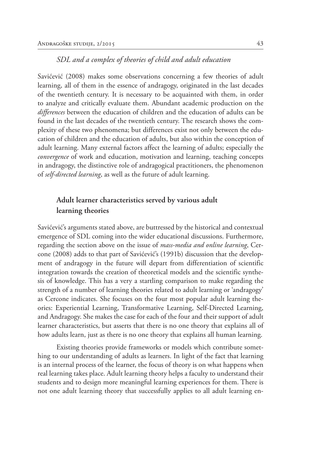### *SDL and a complex of theories of child and adult education*

Savićević (2008) makes some observations concerning a few theories of adult learning, all of them in the essence of andragogy, originated in the last decades of the twentieth century. It is necessary to be acquainted with them, in order to analyze and critically evaluate them. Abundant academic production on the *differences* between the education of children and the education of adults can be found in the last decades of the twentieth century. The research shows the complexity of these two phenomena; but differences exist not only between the education of children and the education of adults, but also within the conception of adult learning. Many external factors affect the learning of adults; especially the *convergence* of work and education, motivation and learning, teaching concepts in andragogy, the distinctive role of andragogical practitioners, the phenomenon of *self-directed learning*, as well as the future of adult learning.

### **Adult learner characteristics served by various adult learning theories**

Savićević's arguments stated above, are buttressed by the historical and contextual emergence of SDL coming into the wider educational discussions. Furthermore, regarding the section above on the issue of *mass-media and online learning*, Cercone (2008) adds to that part of Savićević's (1991b) discussion that the development of andragogy in the future will depart from differentiation of scientific integration towards the creation of theoretical models and the scientific synthesis of knowledge. This has a very a startling comparison to make regarding the strength of a number of learning theories related to adult learning or 'andragogy' as Cercone indicates. She focuses on the four most popular adult learning theories: Experiential Learning, Transformative Learning, Self-Directed Learning, and Andragogy. She makes the case for each of the four and their support of adult learner characteristics, but asserts that there is no one theory that explains all of how adults learn, just as there is no one theory that explains all human learning.

Existing theories provide frameworks or models which contribute something to our understanding of adults as learners. In light of the fact that learning is an internal process of the learner, the focus of theory is on what happens when real learning takes place. Adult learning theory helps a faculty to understand their students and to design more meaningful learning experiences for them. There is not one adult learning theory that successfully applies to all adult learning en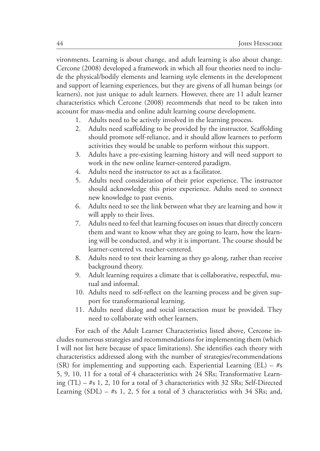vironments. Learning is about change, and adult learning is also about change. Cercone (2008) developed a framework in which all four theories need to include the physical/bodily elements and learning style elements in the development and support of learning experiences, but they are givens of all human beings (or learners), not just unique to adult learners. However, there are 11 adult learner characteristics which Cercone (2008) recommends that need to be taken into account for mass-media and online adult learning course development.

- 1. Adults need to be actively involved in the learning process.
- 2. Adults need scaffolding to be provided by the instructor. Scaffolding should promote self-reliance, and it should allow learners to perform activities they would be unable to perform without this support.
- 3. Adults have a pre-existing learning history and will need support to work in the new online learner-centered paradigm.
- 4. Adults need the instructor to act as a facilitator.
- 5. Adults need consideration of their prior experience. The instructor should acknowledge this prior experience. Adults need to connect new knowledge to past events.
- 6. Adults need to see the link between what they are learning and how it will apply to their lives.
- 7. Adults need to feel that learning focuses on issues that directly concern them and want to know what they are going to learn, how the learning will be conducted, and why it is important. The course should be learner-centered vs. teacher-centered.
- 8. Adults need to test their learning as they go along, rather than receive background theory.
- 9. Adult learning requires a climate that is collaborative, respectful, mutual and informal.
- 10. Adults need to self-reflect on the learning process and be given support for transformational learning.
- 11. Adults need dialog and social interaction must be provided. They need to collaborate with other learners.

For each of the Adult Learner Characteristics listed above, Cercone includes numerous strategies and recommendations for implementing them (which I will not list here because of space limitations). She identifies each theory with characteristics addressed along with the number of strategies/recommendations (SR) for implementing and supporting each. Experiential Learning (EL)  $-$  #s 5, 9, 10, 11 for a total of 4 characteristics with 24 SRs; Transformative Learning (TL) – #s 1, 2, 10 for a total of 3 characteristics with 32 SRs; Self-Directed Learning  $(SDL)$  – #s 1, 2, 5 for a total of 3 characteristics with 34 SRs; and,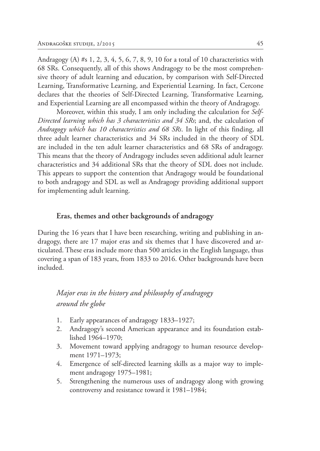Andragogy (A) #s 1, 2, 3, 4, 5, 6, 7, 8, 9, 10 for a total of 10 characteristics with 68 SRs. Consequently, all of this shows Andragogy to be the most comprehensive theory of adult learning and education, by comparison with Self-Directed Learning, Transformative Learning, and Experiential Learning. In fact, Cercone declares that the theories of Self-Directed Learning, Transformative Learning, and Experiential Learning are all encompassed within the theory of Andragogy.

Moreover, within this study, I am only including the calculation for *Self-Directed learning which has 3 characteristics and 34 SRs*; and, the calculation of *Andragogy which has 10 characteristics and 68 SRs*. In light of this finding, all three adult learner characteristics and 34 SRs included in the theory of SDL are included in the ten adult learner characteristics and 68 SRs of andragogy. This means that the theory of Andragogy includes seven additional adult learner characteristics and 34 additional SRs that the theory of SDL does not include. This appears to support the contention that Andragogy would be foundational to both andragogy and SDL as well as Andragogy providing additional support for implementing adult learning.

#### **Eras, themes and other backgrounds of andragogy**

During the 16 years that I have been researching, writing and publishing in andragogy, there are 17 major eras and six themes that I have discovered and articulated. These eras include more than 500 articles in the English language, thus covering a span of 183 years, from 1833 to 2016. Other backgrounds have been included.

# *Major eras in the history and philosophy of andragogy around the globe*

- 1. Early appearances of andragogy 1833–1927;
- 2. Andragogy's second American appearance and its foundation established 1964–1970;
- 3. Movement toward applying andragogy to human resource development 1971–1973;
- 4. Emergence of self-directed learning skills as a major way to implement andragogy 1975–1981;
- 5. Strengthening the numerous uses of andragogy along with growing controversy and resistance toward it 1981–1984;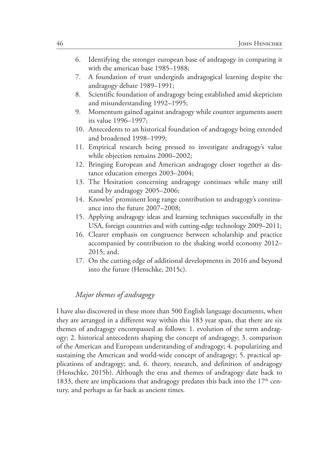- 6. Identifying the stronger european base of andragogy in comparing it with the american base 1985–1988;
- 7. A foundation of trust undergirds andragogical learning despite the andragogy debate 1989–1991;
- 8. Scientific foundation of andragogy being established amid skepticism and misunderstanding 1992–1995;
- 9. Momentum gained against andragogy while counter arguments assert its value 1996–1997;
- 10. Antecedents to an historical foundation of andragogy being extended and broadened 1998–1999;
- 11. Empirical research being pressed to investigate andragogy's value while objection remains 2000–2002;
- 12. Bringing European and American andragogy closer together as distance education emerges 2003–2004;
- 13. The Hesitation concerning andragogy continues while many still stand by andragogy 2005–2006;
- 14. Knowles' prominent long range contribution to andragogy's continuance into the future 2007–2008;
- 15. Applying andragogy ideas and learning techniques successfully in the USA, foreign countries and with cutting-edge technology 2009–2011;
- 16. Clearer emphasis on congruence between scholarship and practice accompanied by contribution to the shaking world economy 2012– 2015; and,
- 17. On the cutting edge of additional developments in 2016 and beyond into the future (Henschke, 2015c).

### *Major themes of andragogy*

I have also discovered in these more than 500 English language documents, when they are arranged in a different way within this 183 year span, that there are six themes of andragogy encompassed as follows: 1. evolution of the term andragogy; 2. historical antecedents shaping the concept of andragogy; 3. comparison of the American and European understanding of andragogy; 4. popularizing and sustaining the American and world-wide concept of andragogy; 5. practical applications of andragogy; and, 6. theory, research, and definition of andragogy (Henschke, 2015b). Although the eras and themes of andragogy date back to 1833, there are implications that andragogy predates this back into the  $17<sup>th</sup>$  century, and perhaps as far back as ancient times.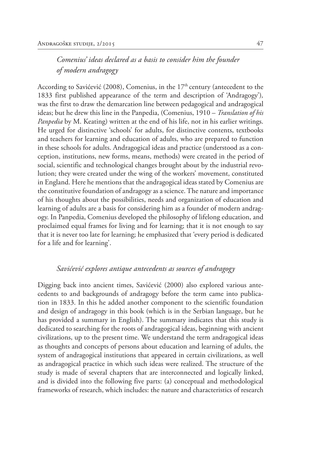# *Comenius' ideas declared as a basis to consider him the founder of modern andragogy*

According to Savićević (2008), Comenius, in the  $17<sup>th</sup>$  century (antecedent to the 1833 first published appearance of the term and description of 'Andragogy')*,* was the first to draw the demarcation line between pedagogical and andragogical ideas; but he drew this line in the Panpedia, (Comenius, 1910 – *Translation of his Panpedia* by M. Keating) written at the end of his life, not in his earlier writings. He urged for distinctive 'schools' for adults, for distinctive contents, textbooks and teachers for learning and education of adults, who are prepared to function in these schools for adults. Andragogical ideas and practice (understood as a conception, institutions, new forms, means, methods) were created in the period of social, scientific and technological changes brought about by the industrial revolution; they were created under the wing of the workers' movement, constituted in England. Here he mentions that the andragogical ideas stated by Comenius are the constitutive foundation of andragogy as a science. The nature and importance of his thoughts about the possibilities, needs and organization of education and learning of adults are a basis for considering him as a founder of modern andragogy. In Panpedia, Comenius developed the philosophy of lifelong education, and proclaimed equal frames for living and for learning; that it is not enough to say that it is never too late for learning; he emphasized that 'every period is dedicated for a life and for learning'.

#### *Savićević explores antique antecedents as sources of andragogy*

Digging back into ancient times, Savićević (2000) also explored various antecedents to and backgrounds of andragogy before the term came into publication in 1833. In this he added another component to the scientific foundation and design of andragogy in this book (which is in the Serbian language, but he has provided a summary in English). The summary indicates that this study is dedicated to searching for the roots of andragogical ideas, beginning with ancient civilizations, up to the present time. We understand the term andragogical ideas as thoughts and concepts of persons about education and learning of adults, the system of andragogical institutions that appeared in certain civilizations, as well as andragogical practice in which such ideas were realized. The structure of the study is made of several chapters that are interconnected and logically linked, and is divided into the following five parts: (a) conceptual and methodological frameworks of research, which includes: the nature and characteristics of research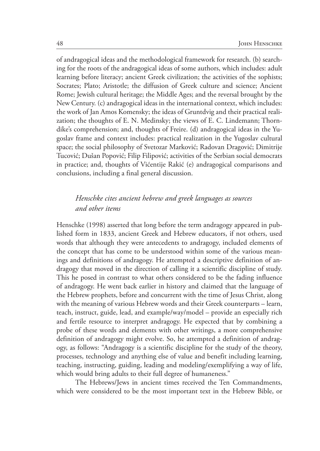of andragogical ideas and the methodological framework for research. (b) searching for the roots of the andragogical ideas of some authors, which includes: adult learning before literacy; ancient Greek civilization; the activities of the sophists; Socrates; Plato; Aristotle; the diffusion of Greek culture and science; Ancient Rome; Jewish cultural heritage; the Middle Ages; and the reversal brought by the New Century. (c) andragogical ideas in the international context, which includes: the work of Jan Amos Komensky; the ideas of Gruntdvig and their practical realization; the thoughts of E. N. Medinsky; the views of E. C. Lindemann; Thorndike's comprehension; and, thoughts of Freire. (d) andragogical ideas in the Yugoslav frame and context includes: practical realization in the Yugoslav cultural space; the social philosophy of Svetozar Marković; Radovan Dragović; Dimitrije Tucović; Dušan Popović; Filip Filipović; activities of the Serbian social democrats in practice; and, thoughts of Vićentije Rakić (e) andragogical comparisons and conclusions, including a final general discussion.

# *Henschke cites ancient hebrew and greek languages as sources and other items*

Henschke (1998) asserted that long before the term andragogy appeared in published form in 1833, ancient Greek and Hebrew educators, if not others, used words that although they were antecedents to andragogy, included elements of the concept that has come to be understood within some of the various meanings and definitions of andragogy. He attempted a descriptive definition of andragogy that moved in the direction of calling it a scientific discipline of study. This he posed in contrast to what others considered to be the fading influence of andragogy. He went back earlier in history and claimed that the language of the Hebrew prophets, before and concurrent with the time of Jesus Christ, along with the meaning of various Hebrew words and their Greek counterparts – learn, teach, instruct, guide, lead, and example/way/model – provide an especially rich and fertile resource to interpret andragogy. He expected that by combining a probe of these words and elements with other writings, a more comprehensive definition of andragogy might evolve. So, he attempted a definition of andragogy, as follows: "Andragogy is a scientific discipline for the study of the theory, processes, technology and anything else of value and benefit including learning, teaching, instructing, guiding, leading and modeling/exemplifying a way of life, which would bring adults to their full degree of humaneness."

The Hebrews/Jews in ancient times received the Ten Commandments, which were considered to be the most important text in the Hebrew Bible, or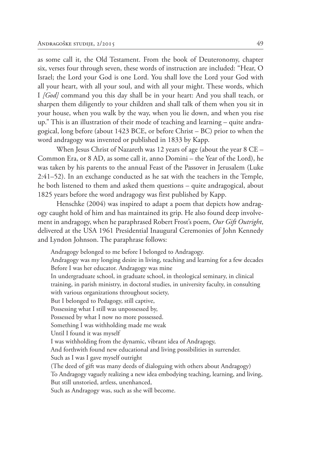as some call it, the Old Testament. From the book of Deuteronomy, chapter six, verses four through seven, these words of instruction are included: "Hear, O Israel; the Lord your God is one Lord. You shall love the Lord your God with all your heart, with all your soul, and with all your might. These words, which I *[God]* command you this day shall be in your heart: And you shall teach, or sharpen them diligently to your children and shall talk of them when you sit in your house, when you walk by the way, when you lie down, and when you rise up." This is an illustration of their mode of teaching and learning – quite andragogical, long before (about 1423 BCE, or before Christ – BC) prior to when the word andragogy was invented or published in 1833 by Kapp.

When Jesus Christ of Nazareth was 12 years of age (about the year 8 CE – Common Era, or 8 AD, as some call it, anno Domini – the Year of the Lord), he was taken by his parents to the annual Feast of the Passover in Jerusalem (Luke 2:41–52). In an exchange conducted as he sat with the teachers in the Temple, he both listened to them and asked them questions – quite andragogical, about 1825 years before the word andragogy was first published by Kapp.

Henschke (2004) was inspired to adapt a poem that depicts how andragogy caught hold of him and has maintained its grip. He also found deep involvement in andragogy, when he paraphrased Robert Frost's poem, *Our Gift Outright*, delivered at the USA 1961 Presidential Inaugural Ceremonies of John Kennedy and Lyndon Johnson. The paraphrase follows:

Andragogy belonged to me before I belonged to Andragogy.

Andragogy was my longing desire in living, teaching and learning for a few decades Before I was her educator. Andragogy was mine

In undergraduate school, in graduate school, in theological seminary, in clinical training, in parish ministry, in doctoral studies, in university faculty, in consulting with various organizations throughout society,

But I belonged to Pedagogy, still captive,

Possessing what I still was unpossessed by,

Possessed by what I now no more possessed.

Something I was withholding made me weak

Until I found it was myself

I was withholding from the dynamic, vibrant idea of Andragogy,

And forthwith found new educational and living possibilities in surrender.

Such as I was I gave myself outright

(The deed of gift was many deeds of dialoguing with others about Andragogy)

To Andragogy vaguely realizing a new idea embodying teaching, learning, and living,

But still unstoried, artless, unenhanced,

Such as Andragogy was, such as she will become.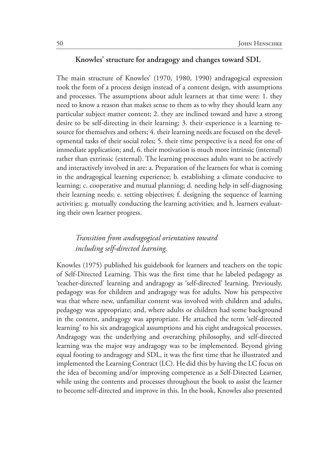### **Knowles' structure for andragogy and changes toward SDL**

The main structure of Knowles' (1970, 1980, 1990) andragogical expression took the form of a process design instead of a content design, with assumptions and processes. The assumptions about adult learners at that time were: 1. they need to know a reason that makes sense to them as to why they should learn any particular subject matter content; 2. they are inclined toward and have a strong desire to be self-directing in their learning; 3. their experience is a learning resource for themselves and others; 4. their learning needs are focused on the developmental tasks of their social roles; 5. their time perspective is a need for one of immediate application; and, 6. their motivation is much more intrinsic (internal) rather than extrinsic (external). The learning processes adults want to be actively and interactively involved in are: a. Preparation of the learners for what is coming in the andragogical learning experience; b. establishing a climate conducive to learning; c. cooperative and mutual planning; d. needing help in self-diagnosing their learning needs; e. setting objectives; f. designing the sequence of learning activities; g. mutually conducting the learning activities; and h. learners evaluating their own learner progress.

### *Transition from andragogical orientation toward including self-directed learning.*

Knowles (1975) published his guidebook for learners and teachers on the topic of Self-Directed Learning. This was the first time that he labeled pedagogy as 'teacher-directed' learning and andragogy as 'self-directed' learning. Previously, pedagogy was for children and andragogy was for adults. Now his perspective was that where new, unfamiliar content was involved with children and adults, pedagogy was appropriate; and, where adults or children had some background in the content, andragogy was appropriate. He attached the term 'self-directed learning' to his six andragogical assumptions and his eight andragoical processes. Andragogy was the underlying and overarching philosophy, and self-directed learning was the major way andragogy was to be implemented. Beyond giving equal footing to andragogy and SDL, it was the first time that he illustrated and implemented the Learning Contract (LC). He did this by having the LC focus on the idea of becoming and/or improving competence as a Self-Directed Learner, while using the contents and processes throughout the book to assist the learner to become self-directed and improve in this. In the book, Knowles also presented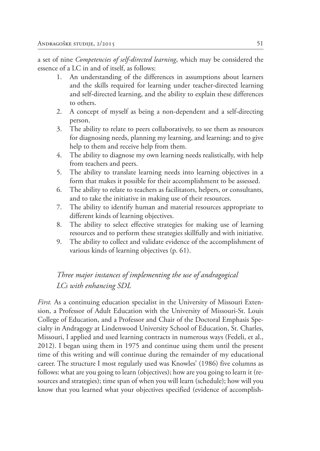a set of nine *Competencies of self-directed learning*, which may be considered the essence of a LC in and of itself, as follows:

- 1. An understanding of the differences in assumptions about learners and the skills required for learning under teacher-directed learning and self-directed learning, and the ability to explain these differences to others.
- 2. A concept of myself as being a non-dependent and a self-directing person.
- 3. The ability to relate to peers collaboratively, to see them as resources for diagnosing needs, planning my learning, and learning; and to give help to them and receive help from them.
- 4. The ability to diagnose my own learning needs realistically, with help from teachers and peers.
- 5. The ability to translate learning needs into learning objectives in a form that makes it possible for their accomplishment to be assessed.
- 6. The ability to relate to teachers as facilitators, helpers, or consultants, and to take the initiative in making use of their resources.
- 7. The ability to identify human and material resources appropriate to different kinds of learning objectives.
- 8. The ability to select effective strategies for making use of learning resources and to perform these strategies skillfully and with initiative.
- 9. The ability to collect and validate evidence of the accomplishment of various kinds of learning objectives (p. 61).

# *Three major instances of implementing the use of andragogical LCs with enhancing SDL*

*First.* As a continuing education specialist in the University of Missouri Extension, a Professor of Adult Education with the University of Missouri-St. Louis College of Education, and a Professor and Chair of the Doctoral Emphasis Specialty in Andragogy at Lindenwood University School of Education, St. Charles, Missouri, I applied and used learning contracts in numerous ways (Fedeli, et al., 2012). I began using them in 1975 and continue using them until the present time of this writing and will continue during the remainder of my educational career. The structure I most regularly used was Knowles' (1986) five columns as follows: what are you going to learn (objectives); how are you going to learn it (resources and strategies); time span of when you will learn (schedule); how will you know that you learned what your objectives specified (evidence of accomplish-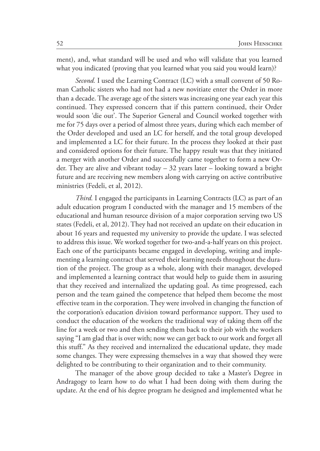ment), and, what standard will be used and who will validate that you learned what you indicated (proving that you learned what you said you would learn)?

*Second.* I used the Learning Contract (LC) with a small convent of 50 Roman Catholic sisters who had not had a new novitiate enter the Order in more than a decade. The average age of the sisters was increasing one year each year this continued. They expressed concern that if this pattern continued, their Order would soon 'die out'. The Superior General and Council worked together with me for 75 days over a period of almost three years, during which each member of the Order developed and used an LC for herself, and the total group developed and implemented a LC for their future. In the process they looked at their past and considered options for their future. The happy result was that they initiated a merger with another Order and successfully came together to form a new Order. They are alive and vibrant today – 32 years later – looking toward a bright future and are receiving new members along with carrying on active contributive ministries (Fedeli, et al, 2012).

*Third.* I engaged the participants in Learning Contracts (LC) as part of an adult education program I conducted with the manager and 15 members of the educational and human resource division of a major corporation serving two US states (Fedeli, et al, 2012). They had not received an update on their education in about 16 years and requested my university to provide the update. I was selected to address this issue. We worked together for two-and-a-half years on this project. Each one of the participants became engaged in developing, writing and implementing a learning contract that served their learning needs throughout the duration of the project. The group as a whole, along with their manager, developed and implemented a learning contract that would help to guide them in assuring that they received and internalized the updating goal. As time progressed, each person and the team gained the competence that helped them become the most effective team in the corporation. They were involved in changing the function of the corporation's education division toward performance support. They used to conduct the education of the workers the traditional way of taking them off the line for a week or two and then sending them back to their job with the workers saying "I am glad that is over with; now we can get back to our work and forget all this stuff." As they received and internalized the educational update, they made some changes. They were expressing themselves in a way that showed they were delighted to be contributing to their organization and to their community.

The manager of the above group decided to take a Master's Degree in Andragogy to learn how to do what I had been doing with them during the update. At the end of his degree program he designed and implemented what he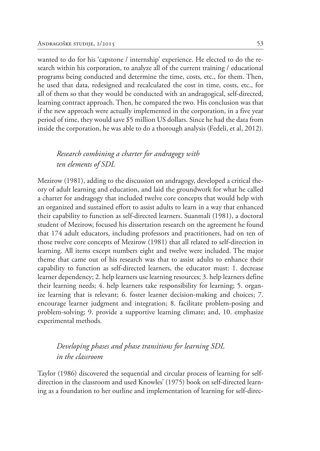wanted to do for his 'capstone / internship' experience. He elected to do the research within his corporation, to analyze all of the current training / educational programs being conducted and determine the time, costs, etc., for them. Then, he used that data, redesigned and recalculated the cost in time, costs, etc., for all of them so that they would be conducted with an andragogical, self-directed, learning contract approach. Then, he compared the two. His conclusion was that if the new approach were actually implemented in the corporation, in a five year period of time, they would save \$5 million US dollars. Since he had the data from inside the corporation, he was able to do a thorough analysis (Fedeli, et al, 2012).

# *Research combining a charter for andragogy with ten elements of SDL*

Mezirow (1981), adding to the discussion on andragogy, developed a critical theory of adult learning and education, and laid the groundwork for what he called a charter for andragogy that included twelve core concepts that would help with an organized and sustained effort to assist adults to learn in a way that enhanced their capability to function as self-directed learners. Suanmali (1981), a doctoral student of Mezirow, focused his dissertation research on the agreement he found that 174 adult educators, including professors and practitioners, had on ten of those twelve core concepts of Mezirow (1981) that all related to self-direction in learning. All items except numbers eight and twelve were included. The major theme that came out of his research was that to assist adults to enhance their capability to function as self-directed learners, the educator must: 1. decrease learner dependency; 2. help learners use learning resources; 3. help learners define their learning needs; 4. help learners take responsibility for learning; 5. organize learning that is relevant; 6. foster learner decision-making and choices; 7. encourage learner judgment and integration; 8. facilitate problem-posing and problem-solving; 9. provide a supportive learning climate; and, 10. emphasize experimental methods.

## *Developing phases and phase transitions for learning SDL in the classroom*

Taylor (1986) discovered the sequential and circular process of learning for selfdirection in the classroom and used Knowles' (1975) book on self-directed learning as a foundation to her outline and implementation of learning for self-direc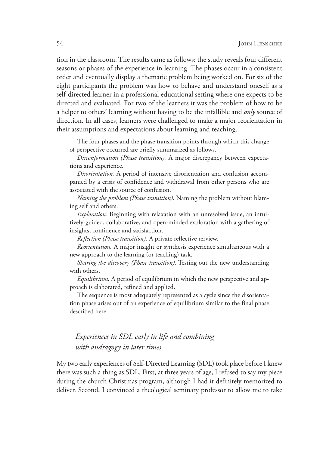tion in the classroom. The results came as follows: the study reveals four different seasons or phases of the experience in learning. The phases occur in a consistent order and eventually display a thematic problem being worked on. For six of the eight participants the problem was how to behave and understand oneself as a self-directed learner in a professional educational setting where one expects to be directed and evaluated. For two of the learners it was the problem of how to be a helper to others' learning without having to be the infallible and *only* source of direction. In all cases, learners were challenged to make a major reorientation in their assumptions and expectations about learning and teaching.

The four phases and the phase transition points through which this change of perspective occurred are briefly summarized as follows.

*Disconformation (Phase transition).* A major discrepancy between expectations and experience.

*Disorientation.* A period of intensive disorientation and confusion accompanied by a crisis of confidence and withdrawal from other persons who are associated with the source of confusion.

*Naming the problem (Phase transition).* Naming the problem without blaming self and others.

*Exploration.* Beginning with relaxation with an unresolved issue, an intuitively-guided, collaborative, and open-minded exploration with a gathering of insights, confidence and satisfaction.

*Reflection (Phase transition).* A private reflective rerview.

*Reorientation.* A major insight or synthesis experience simultaneous with a new approach to the learning (or teaching) task.

*Sharing the discovery (Phase transition).* Testing out the new understanding with others.

*Equilibrium.* A period of equilibrium in which the new perspective and approach is elaborated, refined and applied.

The sequence is most adequately represented as a cycle since the disorientation phase arises out of an experience of equilibrium similar to the final phase described here.

# *Experiences in SDL early in life and combining with andragogy in later times*

My two early experiences of Self-Directed Learning (SDL) took place before I knew there was such a thing as SDL. First, at three years of age, I refused to say my piece during the church Christmas program, although I had it definitely memorized to deliver. Second, I convinced a theological seminary professor to allow me to take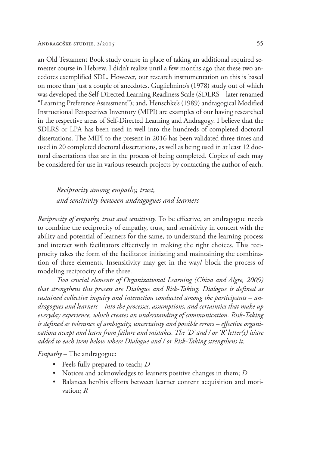an Old Testament Book study course in place of taking an additional required semester course in Hebrew. I didn't realize until a few months ago that these two anecdotes exemplified SDL. However, our research instrumentation on this is based on more than just a couple of anecdotes. Guglielmino's (1978) study out of which was developed the Self-Directed Learning Readiness Scale (SDLRS – later renamed "Learning Preference Assessment"); and, Henschke's (1989) andragogical Modified Instructional Perspectives Inventory (MIPI) are examples of our having researched in the respective areas of Self-Directed Learning and Andragogy. I believe that the SDLRS or LPA has been used in well into the hundreds of completed doctoral dissertations. The MIPI to the present in 2016 has been validated three times and used in 20 completed doctoral dissertations, as well as being used in at least 12 doctoral dissertations that are in the process of being completed. Copies of each may be considered for use in various research projects by contacting the author of each.

*Reciprocity among empathy, trust, and sensitivity between andragogues and learners*

*Reciprocity of empathy, trust and sensitivity.* To be effective, an andragogue needs to combine the reciprocity of empathy, trust, and sensitivity in concert with the ability and potential of learners for the same, to understand the learning process and interact with facilitators effectively in making the right choices. This reciprocity takes the form of the facilitator initiating and maintaining the combination of three elements. Insensitivity may get in the way/ block the process of modeling reciprocity of the three.

*Two crucial elements of Organizational Learning (Chiva and Algre, 2009) that strengthens this process are Dialogue and Risk-Taking. Dialogue is defined as sustained collective inquiry and interaction conducted among the participants – andragogues and learners – into the processes, assumptions, and certainties that make up everyday experience, which creates an understanding of communication. Risk-Taking is defined as tolerance of ambiguity, uncertainty and possible errors – effective organizations accept and learn from failure and mistakes. The 'D' and / or 'R' letter(s) is/are added to each item below where Dialogue and / or Risk-Taking strengthens it.*

*Empathy* – The andragogue:

- Feels fully prepared to teach; *D*
- Notices and acknowledges to learners positive changes in them; *D*
- Balances her/his efforts between learner content acquisition and motivation; *R*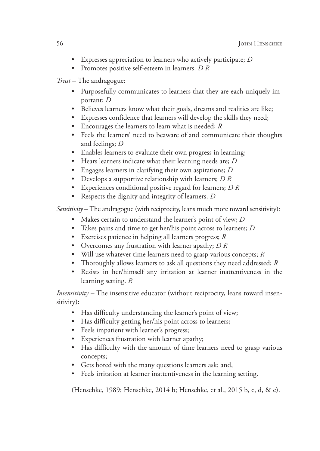- Expresses appreciation to learners who actively participate; *D*
- Promotes positive self-esteem in learners. *D R*

*Trust –* The andragogue:

- Purposefully communicates to learners that they are each uniquely important; *D*
- Believes learners know what their goals, dreams and realities are like;
- Expresses confidence that learners will develop the skills they need;
- Encourages the learners to learn what is needed; *R*
- Feels the learners' need to beaware of and communicate their thoughts and feelings; *D*
- Enables learners to evaluate their own progress in learning;
- Hears learners indicate what their learning needs are; *D*
- Engages learners in clarifying their own aspirations; *D*
- Develops a supportive relationship with learners; *D R*
- Experiences conditional positive regard for learners; *D R*
- Respects the dignity and integrity of learners. *D*

*Sensitivity –* The andragogue (with reciprocity, leans much more toward sensitivity):

- Makes certain to understand the learner's point of view; *D*
- Takes pains and time to get her/his point across to learners; *D*
- Exercises patience in helping all learners progress; *R*
- Overcomes any frustration with learner apathy; *D R*
- Will use whatever time learners need to grasp various concepts; *R*
- Thoroughly allows learners to ask all questions they need addressed; *R*
- Resists in her/himself any irritation at learner inattentiveness in the learning setting. *R*

*Insensitivity –* The insensitive educator (without reciprocity, leans toward insensitivity):

- Has difficulty understanding the learner's point of view;
- Has difficulty getting her/his point across to learners;
- Feels impatient with learner's progress;
- Experiences frustration with learner apathy;
- Has difficulty with the amount of time learners need to grasp various concepts;
- Gets bored with the many questions learners ask; and,
- Feels irritation at learner inattentiveness in the learning setting.

(Henschke, 1989; Henschke, 2014 b; Henschke, et al., 2015 b, c, d, & e).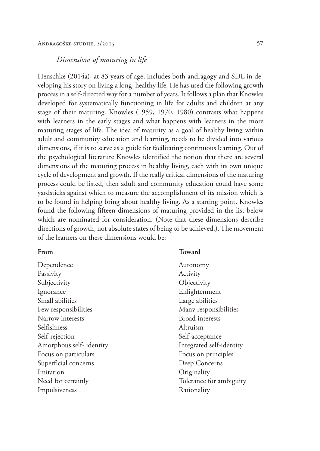### *Dimensions of maturing in life*

Henschke (2014a), at 83 years of age, includes both andragogy and SDL in developing his story on living a long, healthy life. He has used the following growth process in a self-directed way for a number of years. It follows a plan that Knowles developed for systematically functioning in life for adults and children at any stage of their maturing. Knowles (1959, 1970, 1980) contrasts what happens with learners in the early stages and what happens with learners in the more maturing stages of life. The idea of maturity as a goal of healthy living within adult and community education and learning, needs to be divided into various dimensions, if it is to serve as a guide for facilitating continuous learning. Out of the psychological literature Knowles identified the notion that there are several dimensions of the maturing process in healthy living, each with its own unique cycle of development and growth. If the really critical dimensions of the maturing process could be listed, then adult and community education could have some yardsticks against which to measure the accomplishment of its mission which is to be found in helping bring about healthy living. As a starting point, Knowles found the following fifteen dimensions of maturing provided in the list below which are nominated for consideration. (Note that these dimensions describe directions of growth, not absolute states of being to be achieved.). The movement of the learners on these dimensions would be:

| From                    | Toward                   |
|-------------------------|--------------------------|
| Dependence              | Autonomy                 |
| Passivity               | Activity                 |
| Subjectivity            | Objectivity              |
| Ignorance               | Enlightenment            |
| Small abilities         | Large abilities          |
| Few responsibilities    | Many responsibilities    |
| Narrow interests        | <b>Broad</b> interests   |
| Selfishness             | Altruism                 |
| Self-rejection          | Self-acceptance          |
| Amorphous self-identity | Integrated self-identity |
| Focus on particulars    | Focus on principles      |
| Superficial concerns    | Deep Concerns            |
| Imitation               | Originality              |
| Need for certainly      | Tolerance for ambiguity  |
| Impulsiveness           | Rationality              |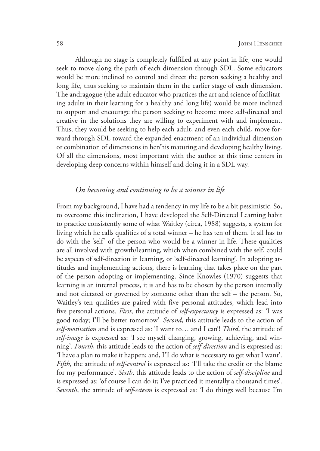Although no stage is completely fulfilled at any point in life, one would seek to move along the path of each dimension through SDL. Some educators would be more inclined to control and direct the person seeking a healthy and long life, thus seeking to maintain them in the earlier stage of each dimension. The andragogue (the adult educator who practices the art and science of facilitating adults in their learning for a healthy and long life) would be more inclined to support and encourage the person seeking to become more self-directed and creative in the solutions they are willing to experiment with and implement. Thus, they would be seeking to help each adult, and even each child, move forward through SDL toward the expanded enactment of an individual dimension or combination of dimensions in her/his maturing and developing healthy living. Of all the dimensions, most important with the author at this time centers in developing deep concerns within himself and doing it in a SDL way.

### *On becoming and continuing to be a winner in life*

From my background, I have had a tendency in my life to be a bit pessimistic. So, to overcome this inclination, I have developed the Self-Directed Learning habit to practice consistently some of what Waitley (circa, 1988) suggests, a system for living which he calls qualities of a total winner – he has ten of them. It all has to do with the 'self' of the person who would be a winner in life. These qualities are all involved with growth/learning, which when combined with the self, could be aspects of self-direction in learning, or 'self-directed learning'. In adopting attitudes and implementing actions, there is learning that takes place on the part of the person adopting or implementing. Since Knowles (1970) suggests that learning is an internal process, it is and has to be chosen by the person internally and not dictated or governed by someone other than the self – the person. So, Waitley's ten qualities are paired with five personal attitudes, which lead into five personal actions. *First*, the attitude of *self-expectancy* is expressed as: 'I was good today; I'll be better tomorrow'. *Second*, this attitude leads to the action of *self-motivation* and is expressed as: 'I want to… and I can'! *Third*, the attitude of *self-image* is expressed as: 'I see myself changing, growing, achieving, and winning'. *Fourth*, this attitude leads to the action of *self-direction* and is expressed as: 'I have a plan to make it happen; and, I'll do what is necessary to get what I want'. *Fifth*, the attitude of *self-control* is expressed as: 'I'll take the credit or the blame for my performance'. *Sixth*, this attitude leads to the action of *self-discipline* and is expressed as: 'of course I can do it; I've practiced it mentally a thousand times'. *Seventh*, the attitude of *self-esteem* is expressed as: 'I do things well because I'm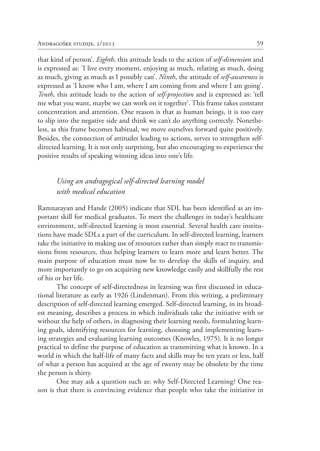that kind of person'. *Eighth*, this attitude leads to the action of *self-dimension* and is expressed as: 'I live every moment, enjoying as much, relating as much, doing as much, giving as much as I possibly can'. *Ninth*, the attitude of *self-awareness* is expressed as 'I know who I am, where I am coming from and where I am going'. *Tenth*, this attitude leads to the action of *self-projection* and is expressed as: 'tell me what you want, maybe we can work on it together'. This frame takes constant concentration and attention. One reason is that as human beings, it is too easy to slip into the negative side and think we can't do anything correctly. Nonetheless, as this frame becomes habitual, we move ourselves forward quite positively. Besides, the connection of attitudes leading to actions, serves to strengthen selfdirected learning. It is not only surprising, but also encouraging to experience the positive results of speaking winning ideas into one's life.

# *Using an andragogical self-directed learning model with medical education*

Ramnarayan and Hande (2005) indicate that SDL has been identified as an important skill for medical graduates. To meet the challenges in today's healthcare environment, self-directed learning is most essential. Several health care institutions have made SDLs a part of the curriculum. In self-directed learning, learners take the initiative in making use of resources rather than simply react to transmissions from resources, thus helping learners to learn more and learn better. The main purpose of education must now be to develop the skills of inquiry, and more importantly to go on acquiring new knowledge easily and skillfully the rest of his or her life.

The concept of self-directedness in learning was first discussed in educational literature as early as 1926 (Lindenman). From this writing, a preliminary description of self-directed learning emerged. Self-directed learning, in its broadest meaning, describes a process in which individuals take the initiative with or without the help of others, in diagnosing their learning needs, formulating learning goals, identifying resources for learning, choosing and implementing learning strategies and evaluating learning outcomes (Knowles, 1975). It is no longer practical to define the purpose of education as transmitting what is known. In a world in which the half-life of many facts and skills may be ten years or less, half of what a person has acquired at the age of twenty may be obsolete by the time the person is thirty.

One may ask a question such as: why Self-Directed Learning? One reason is that there is convincing evidence that people who take the initiative in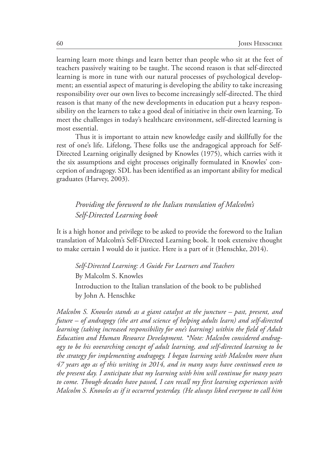learning learn more things and learn better than people who sit at the feet of teachers passively waiting to be taught. The second reason is that self-directed learning is more in tune with our natural processes of psychological development; an essential aspect of maturing is developing the ability to take increasing responsibility over our own lives to become increasingly self-directed. The third reason is that many of the new developments in education put a heavy responsibility on the learners to take a good deal of initiative in their own learning. To meet the challenges in today's healthcare environment, self-directed learning is most essential.

Thus it is important to attain new knowledge easily and skillfully for the rest of one's life. Lifelong, These folks use the andragogical approach for Self-Directed Learning originally designed by Knowles (1975), which carries with it the six assumptions and eight processes originally formulated in Knowles' conception of andragogy. SDL has been identified as an important ability for medical graduates (Harvey, 2003).

# *Providing the foreword to the Italian translation of Malcolm's Self-Directed Learning book*

It is a high honor and privilege to be asked to provide the foreword to the Italian translation of Malcolm's Self-Directed Learning book. It took extensive thought to make certain I would do it justice. Here is a part of it (Henschke, 2014).

*Self-Directed Learning: A Guide For Learners and Teachers* By Malcolm S. Knowles Introduction to the Italian translation of the book to be published by John A. Henschke

*Malcolm S. Knowles stands as a giant catalyst at the juncture – past, present, and future – of andragogy (the art and science of helping adults learn) and self-directed learning (taking increased responsibility for one's learning) within the field of Adult Education and Human Resource Development. \*Note: Malcolm considered andragogy to be his overarching concept of adult learning, and self-directed learning to be the strategy for implementing andragogy. I began learning with Malcolm more than 47 years ago as of this writing in 2014, and in many ways have continued even to the present day. I anticipate that my learning with him will continue for many years to come. Though decades have passed, I can recall my first learning experiences with Malcolm S. Knowles as if it occurred yesterday. (He always liked everyone to call him*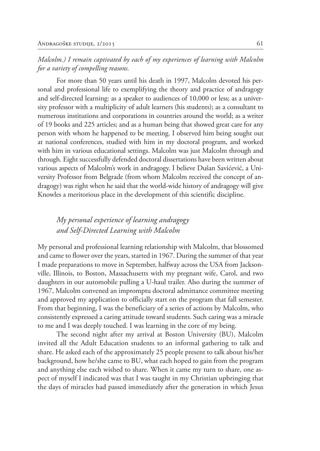*Malcolm.) I remain captivated by each of my experiences of learning with Malcolm for a variety of compelling reasons.*

For more than 50 years until his death in 1997, Malcolm devoted his personal and professional life to exemplifying the theory and practice of andragogy and self-directed learning: as a speaker to audiences of 10,000 or less; as a university professor with a multiplicity of adult learners (his students); as a consultant to numerous institutions and corporations in countries around the world; as a writer of 19 books and 225 articles; and as a human being that showed great care for any person with whom he happened to be meeting. I observed him being sought out at national conferences, studied with him in my doctoral program, and worked with him in various educational settings. Malcolm was just Malcolm through and through. Eight successfully defended doctoral dissertations have been written about various aspects of Malcolm's work in andragogy. I believe Dušan Savićević, a University Professor from Belgrade (from whom Malcolm received the concept of andragogy) was right when he said that the world-wide history of andragogy will give Knowles a meritorious place in the development of this scientific discipline.

# *My personal experience of learning andragogy and Self-Directed Learning with Malcolm*

My personal and professional learning relationship with Malcolm, that blossomed and came to flower over the years, started in 1967. During the summer of that year I made preparations to move in September, halfway across the USA from Jacksonville, Illinois, to Boston, Massachusetts with my pregnant wife, Carol, and two daughters in our automobile pulling a U-haul trailer. Also during the summer of 1967, Malcolm convened an impromptu doctoral admittance committee meeting and approved my application to officially start on the program that fall semester. From that beginning, I was the beneficiary of a series of actions by Malcolm, who consistently expressed a caring attitude toward students. Such caring was a miracle to me and I was deeply touched. I was learning in the core of my being.

The second night after my arrival at Boston University (BU), Malcolm invited all the Adult Education students to an informal gathering to talk and share. He asked each of the approximately 25 people present to talk about his/her background, how he/she came to BU, what each hoped to gain from the program and anything else each wished to share. When it came my turn to share, one aspect of myself I indicated was that I was taught in my Christian upbringing that the days of miracles had passed immediately after the generation in which Jesus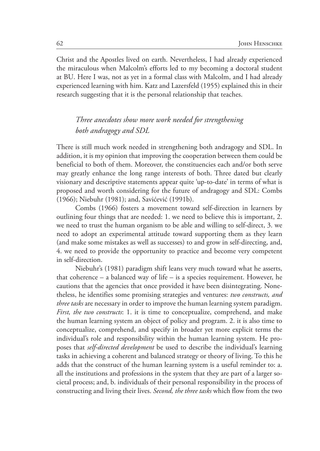Christ and the Apostles lived on earth. Nevertheless, I had already experienced the miraculous when Malcolm's efforts led to my becoming a doctoral student at BU. Here I was, not as yet in a formal class with Malcolm, and I had already experienced learning with him. Katz and Lazersfeld (1955) explained this in their research suggesting that it is the personal relationship that teaches.

# *Three anecdotes show more work needed for strengthening both andragogy and SDL*

There is still much work needed in strengthening both andragogy and SDL. In addition, it is my opinion that improving the cooperation between them could be beneficial to both of them. Moreover, the constituencies each and/or both serve may greatly enhance the long range interests of both. Three dated but clearly visionary and descriptive statements appear quite 'up-to-date' in terms of what is proposed and worth considering for the future of andragogy and SDL: Combs (1966); Niebuhr (1981); and, Savićević (1991b).

Combs (1966) fosters a movement toward self-direction in learners by outlining four things that are needed: 1. we need to believe this is important, 2. we need to trust the human organism to be able and willing to self-direct, 3. we need to adopt an experimental attitude toward supporting them as they learn (and make some mistakes as well as successes) to and grow in self-directing, and, 4. we need to provide the opportunity to practice and become very competent in self-direction.

Niebuhr's (1981) paradigm shift leans very much toward what he asserts, that coherence – a balanced way of life – is a species requirement. However, he cautions that the agencies that once provided it have been disintegrating. Nonetheless, he identifies some promising strategies and ventures: *two constructs, and three tasks* are necessary in order to improve the human learning system paradigm. *First, the two constructs*: 1. it is time to conceptualize, comprehend, and make the human learning system an object of policy and program. 2. it is also time to conceptualize, comprehend, and specify in broader yet more explicit terms the individual's role and responsibility within the human learning system. He proposes that *self-directed development* be used to describe the individual's learning tasks in achieving a coherent and balanced strategy or theory of living. To this he adds that the construct of the human learning system is a useful reminder to: a. all the institutions and professions in the system that they are part of a larger societal process; and, b. individuals of their personal responsibility in the process of constructing and living their lives. *Second, the three tasks* which flow from the two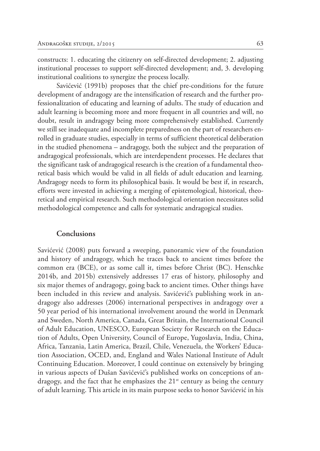constructs: 1. educating the citizenry on self-directed development; 2. adjusting institutional processes to support self-directed development; and, 3. developing institutional coalitions to synergize the process locally.

Savićević (1991b) proposes that the chief pre-conditions for the future development of andragogy are the intensification of research and the further professionalization of educating and learning of adults. The study of education and adult learning is becoming more and more frequent in all countries and will, no doubt, result in andragogy being more comprehensively established. Currently we still see inadequate and incomplete preparedness on the part of researchers enrolled in graduate studies, especially in terms of sufficient theoretical deliberation in the studied phenomena – andragogy, both the subject and the preparation of andragogical professionals, which are interdependent processes. He declares that the significant task of andragogical research is the creation of a fundamental theoretical basis which would be valid in all fields of adult education and learning. Andragogy needs to form its philosophical basis. It would be best if, in research, efforts were invested in achieving a merging of epistemological, historical, theoretical and empirical research. Such methodological orientation necessitates solid methodological competence and calls for systematic andragogical studies.

#### **Conclusions**

Savićević (2008) puts forward a sweeping, panoramic view of the foundation and history of andragogy, which he traces back to ancient times before the common era (BCE), or as some call it, times before Christ (BC). Henschke 2014b, and 2015b) extensively addresses 17 eras of history, philosophy and six major themes of andragogy, going back to ancient times. Other things have been included in this review and analysis. Savićević's publishing work in andragogy also addresses (2006) international perspectives in andragogy over a 50 year period of his international involvement around the world in Denmark and Sweden, North America, Canada, Great Britain, the International Council of Adult Education, UNESCO, European Society for Research on the Education of Adults, Open University, Council of Europe, Yugoslavia, India, China, Africa, Tanzania, Latin America, Brazil, Chile, Venezuela, the Workers' Education Association, OCED, and, England and Wales National Institute of Adult Continuing Education. Moreover, I could continue on extensively by bringing in various aspects of Dušan Savićević's published works on conceptions of andragogy, and the fact that he emphasizes the  $21^{st}$  century as being the century of adult learning. This article in its main purpose seeks to honor Savićević in his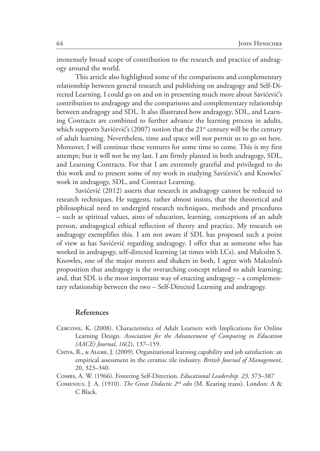immensely broad scope of contribution to the research and practice of andragogy around the world.

This article also highlighted some of the comparisons and complementary relationship between general research and publishing on andragogy and Self-Directed Learning. I could go on and on in presenting much more about Savićević's contribution to andragogy and the comparisons and complementary relationship between andragogy and SDL. It also illustrated how andragogy, SDL, and Learning Contracts are combined to further advance the learning process in adults, which supports Savićević's (2007) notion that the  $21<sup>st</sup>$  century will be the century of adult learning. Nevertheless, time and space will not permit us to go on here. Moreover, I will continue these ventures for some time to come. This is my first attempt; but it will not be my last. I am firmly planted in both andragogy, SDL, and Learning Contracts. For that I am extremely grateful and privileged to do this work and to present some of my work in studying Savićević's and Knowles' work in andragogy, SDL, and Contract Learning.

Savićević (2012) asserts that research in andragogy cannot be reduced to research techniques. He suggests, rather almost insists, that the theoretical and philosophical need to undergird research techniques, methods and procedures – such as spiritual values, aims of education, learning, conceptions of an adult person, andragogical ethical reflection of theory and practice. My research on andragogy exemplifies this. I am not aware if SDL has proposed such a point of view as has Savićević regarding andragogy. I offer that as someone who has worked in andragogy, self-directed learning (at times with LCs), and Malcolm S. Knowles, one of the major movers and shakers in both, I agree with Malcolm's proposition that andragogy is the overarching concept related to adult learning; and, that SDL is the most important way of enacting andragogy – a complementary relationship between the two – Self-Directed Learning and andragogy.

#### **References**

- Cercone, K. (2008). Characteristics of Adult Learners with Implications for Online Learning Design. *Association for the Advancement of Computing in Education (AACE) Journal*, *16*(2), 137–159.
- Chiva, R., & Algre, J. (2009). Organizational learning capability and job satisfaction: an empirical assessment in the ceramic tile industry. *British Journal of Management*, 20, 323–340.
- Combs, A. W. (1966). Fostering Self-Direction. *Educational Leadership. 23*, 373–387
- Comenius, J. A. (1910). *The Great Didactic 2nd edn* (M. Keating trans). London: A & C Black.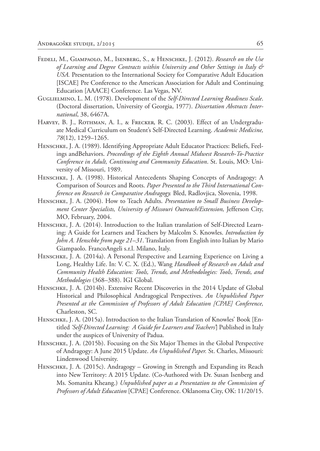- Fedeli, M., Giampaolo, M., Isenberg, S., & Henschke, J. (2012). *Research on the Use of Learning and Degree Contracts within University and Other Settings in Italy & USA.* Presentation to the International Society for Comparative Adult Education [ISCAE] Pre Conference to the American Association for Adult and Continuing Education [AAACE] Conference. Las Vegas, NV.
- Guglielmino, L. M. (1978). Development of the *Self-Directed Learning Readiness Scale*. (Doctoral dissertation, University of Georgia, 1977). *Dissertation Abstracts International*, 38, 6467A.
- HARVEY, B. J., ROTHMAN, A. I., & FRECKER, R. C. (2003). Effect of an Undergraduate Medical Curriculum on Student's Self-Directed Learning. *Academic Medicine, 78*(12), 1259–1265.
- Henschke, J. A. (1989). Identifying Appropriate Adult Educator Practices: Beliefs, Feelings andBehaviors. *Proceedings of the Eighth Annual Midwest Research-To-Practice Conference in Adult, Continuing and Community Education*. St. Louis, MO: University of Missouri, 1989.
- HENSCHKE, J. A. (1998). Historical Antecedents Shaping Concepts of Andragogy: A Comparison of Sources and Roots. *Paper Presented to the Third International Conference on Research in Comparative Andragogy.* Bled, Radlovjica, Slovenia, 1998.
- HENSCHKE, J. A. (2004). How to Teach Adults. *Presentation to Small Business Development Center Specialists, University of Missouri Outreach/Extension,* Jefferson City, MO, February, 2004.
- HENSCHKE, J. A. (2014). Introduction to the Italian translation of Self-Directed Learning: A Guide for Learners and Teachers by Malcolm S. Knowles. *Introduction by John A. Henschke from page 21–31*. Translation from English into Italian by Mario Giampaolo. FrancoAngeli s.r.l. Milano, Italy.
- HENSCHKE, J. A. (2014a). A Personal Perspective and Learning Experience on Living a Long, Healthy Life. In: V. C. X. (Ed.), Wang *Handbook of Research on Adult and Community Health Education: Tools, Trends, and Methodologies: Tools, Trends, and Methodologies* (368–388). IGI Global.
- HENSCHKE, J. A. (2014b). Extensive Recent Discoveries in the 2014 Update of Global Historical and Philosophical Andragogical Perspectives. *An Unpublished Paper Presented at the Commission of Professors of Adult Education [CPAE] Conference,*  Charleston, SC.
- HENSCHKE, J. A. (2015a). Introduction to the Italian Translation of Knowles' Book [Entitled *'Self-Directed Learning: A Guide for Learners and Teachers'*] Published in Italy under the auspices of University of Padua.
- HENSCHKE, J. A. (2015b). Focusing on the Six Major Themes in the Global Perspective of Andragogy: A June 2015 Update. *An Unpublished Paper.* St. Charles, Missouri: Lindenwood University.
- HENSCHKE, J. A. (2015c). Andragogy Growing in Strength and Expanding its Reach into New Territory: A 2015 Update. (Co-Authored with Dr. Susan Isenberg and Ms. Somanita Kheang.) *Unpublished paper as a Presentation to the Commission of Professors of Adult Education* [CPAE] Conference. Oklanoma City, OK: 11/20/15.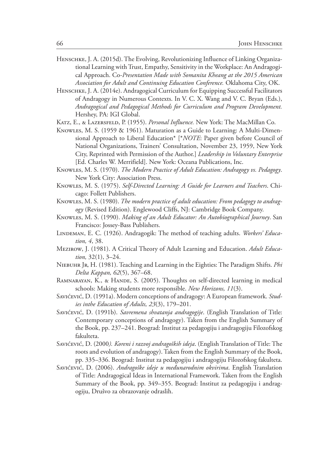- HENSCHKE, J. A. (2015d). The Evolving, Revolutionizing Influence of Linking Organizational Learning with Trust, Empathy, Sensitivity in the Workplace: An Andragogical Approach. Co-*Presentation Made with Somanita Kheang at the 2015 American Association for Adult and Continuing Education Conference.* Oklahoma City, OK.
- HENSCHKE, J. A. (2014e). Andragogical Curriculum for Equipping Successful Facilitators of Andragogy in Numerous Contexts. In V. C. X. Wang and V. C. Bryan (Eds.), *Andragogical and Pedagogical Methods for Curriculum and Program Development.* Hershey, PA: IGI Global.
- KATZ, E., & LAZERSFELD, P. (1955). *Personal Influence*. New York: The MacMillan Co.
- Knowles, M. S. (1959 & 1961). Maturation as a Guide to Learning: A Multi-Dimensional Approach to Liberal Education\* [\**NOTE*: Paper given before Council of National Organizations, Trainers' Consultation, November 23, 1959, New York City, Reprinted with Permission of the Author.] *Leadership in Voluntary Enterprise*  [Ed. Charles W. Merrifield]. New York: Oceana Publications, Inc.
- Knowles, M. S. (1970). *The Modern Practice of Adult Education: Andragogy vs. Pedagogy*. New York City: Association Press.
- Knowles, M. S. (1975). *Self-Directed Learning: A Guide for Learners and Teachers*. Chicago: Follett Publishers.
- Knowles, M. S. (1980). *The modern practice of adult education: From pedagogy to andragogy* (Revised Edition). Englewood Cliffs, NJ: Cambridge Book Company.
- Knowles, M. S. (1990). *Making of an Adult Educator: An Autobiographical Journey*. San Francisco: Jossey-Bass Publishers.
- LINDEMAN, E. C. (1926). Andragogik: The method of teaching adults. *Workers' Education, 4*, 38.
- Mezirow, J. (1981). A Critical Theory of Adult Learning and Education. *Adult Education,* 32(1), 3–24.
- Niebuhr Jr, H. (1981). Teaching and Learning in the Eighties: The Paradigm Shifts. *Phi Delta Kappan, 62*(5), 367–68.
- RAMNARAYAN, K., & HANDE, S. (2005). Thoughts on self-directed learning in medical schools: Making students more responsible. *New Horizons, 11*(3).
- Savićević, D. (1991a). Modern conceptions of andragogy: A European framework. *Studies inthe Education of Adults, 23*(3), 179–201.
- Savićević, D. (1991b). *Savremena shvatanja andragogije*. (English Translation of Title: Contemporary conceptions of andragogy). Taken from the English Summary of the Book, pp. 237–241. Beograd: Institut za pedagogiju i andragogiju Filozofskog fakulteta.
- Savićević, D. (2000*). Koreni i razvoj andragoških ideja*. (English Translation of Title: The roots and evolution of andragogy). Taken from the English Summary of the Book, pp. 335–336. Beograd: Institut za pedagogiju i andragogiju Filozofskog fakulteta.
- Savićević, D. (2006). *Andragoške ideje u međunarodnim okvirima*. English Translation of Title: Andragogical Ideas in International Framework. Taken from the English Summary of the Book, pp. 349–355. Beograd: Institut za pedagogiju i andragogiju, Drušvo za obrazovanje odraslih.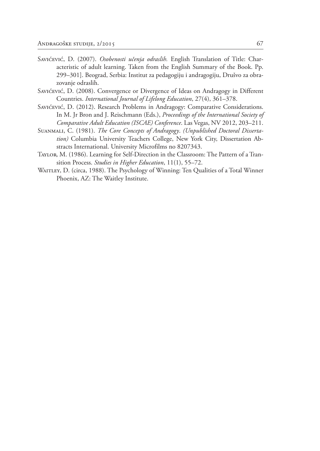- Savićević, D. (2007). *Osobenosti učenja odraslih.* English Translation of Title: Characteristic of adult learning. Taken from the English Summary of the Book. Pp. 299–301]. Beograd, Serbia: Institut za pedagogiju i andragogiju, Drušvo za obrazovanje odraslih.
- Savićević, D. (2008). Convergence or Divergence of Ideas on Andragogy in Different Countries. *International Journal of Lifelong Education*, 27(4), 361–378.
- Savićević, D. (2012). Research Problems in Andragogy: Comparative Considerations. In M. Jr Bron and J. Reischmann (Eds.), *Proceedings of the International Society of Comparative Adult Education (ISCAE) Conference*. Las Vegas, NV 2012, 203–211.
- Suanmali, C. (1981). *The Core Concepts of Andragogy*. *(Unpublished Doctoral Dissertation)* Columbia University Teachers College, New York City, Dissertation Abstracts International. University Microfilms no 8207343.
- Taylor, M. (1986). Learning for Self-Direction in the Classroom: The Pattern of a Transition Process. *Studies in Higher Education*, 11(1), 55–72.
- WAITLEY, D. (circa, 1988). The Psychology of Winning: Ten Qualities of a Total Winner Phoenix, AZ: The Waitley Institute.